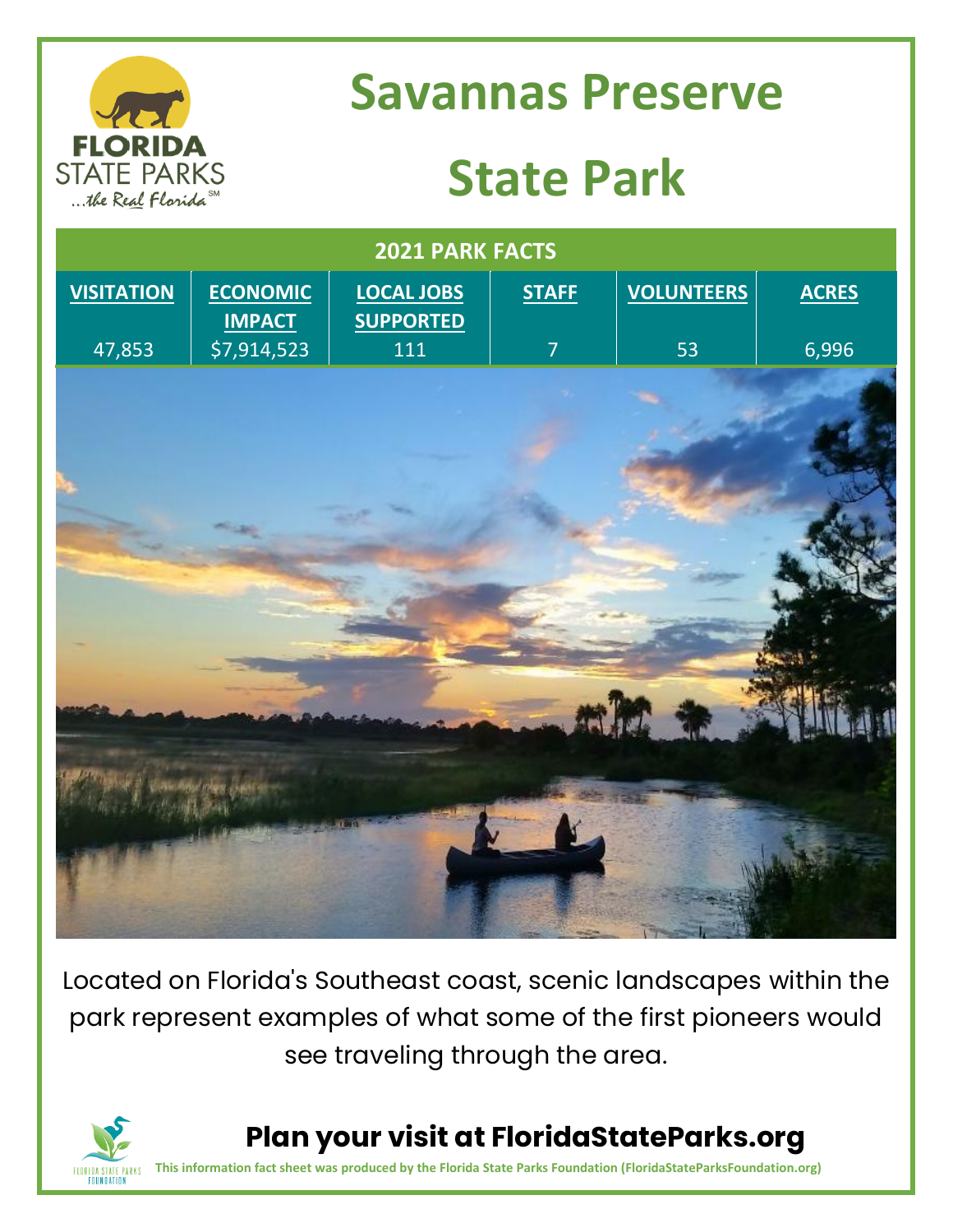

### **Savannas Preserve**

# **State Park**

| 2021 PARK FACTS   |                                  |                                       |                |                   |              |
|-------------------|----------------------------------|---------------------------------------|----------------|-------------------|--------------|
| <b>VISITATION</b> | <b>ECONOMIC</b><br><b>IMPACT</b> | <b>LOCAL JOBS</b><br><b>SUPPORTED</b> | <b>STAFF</b>   | <b>VOLUNTEERS</b> | <b>ACRES</b> |
| 47,853            | \$7,914,523                      | 111                                   | $\overline{7}$ | 53                | 6,996        |
|                   |                                  |                                       |                |                   |              |
|                   |                                  |                                       |                |                   |              |
| <b>AGNEY</b>      |                                  |                                       |                |                   |              |
|                   |                                  |                                       |                |                   |              |

Located on Florida's Southeast coast, scenic landscapes within the park represent examples of what some of the first pioneers would see traveling through the area.



**Plan your visit at FloridaStateParks.org**

**This information fact sheet was produced by the Florida State Parks Foundation (FloridaStateParksFoundation.org)**